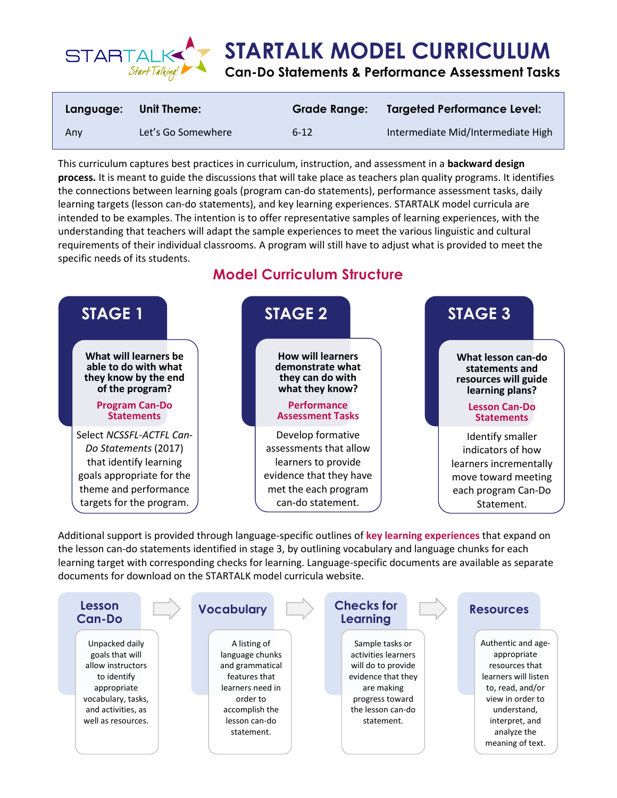

| Language: | <b>Unit Theme:</b> | <b>Grade Range:</b> | <b>Targeted Performance Level:</b> |
|-----------|--------------------|---------------------|------------------------------------|
| Anv       | Let's Go Somewhere | $6 - 12$            | Intermediate Mid/Intermediate High |

This curriculum captures best practices in curriculum, instruction, and assessment in a **backward design process.** It is meant to guide the discussions that will take place as teachers plan quality programs. It identifies the connections between learning goals (program can-do statements), performance assessment tasks, daily learning targets (lesson can-do statements), and key learning experiences. STARTALK model curricula are intended to be examples. The intention is to offer representative samples of learning experiences, with the understanding that teachers will adapt the sample experiences to meet the various linguistic and cultural requirements of their individual classrooms. A program will still have to adjust what is provided to meet the specific needs of its students.

# **Model Curriculum Structure**



Additional support is provided through language-specific outlines of **key learning experiences** that expand on the lesson can-do statements identified in stage 3, by outlining vocabulary and language chunks for each learning target with corresponding checks for learning. Language-specific documents are available as separate documents for download on the STARTALK model curricula website.

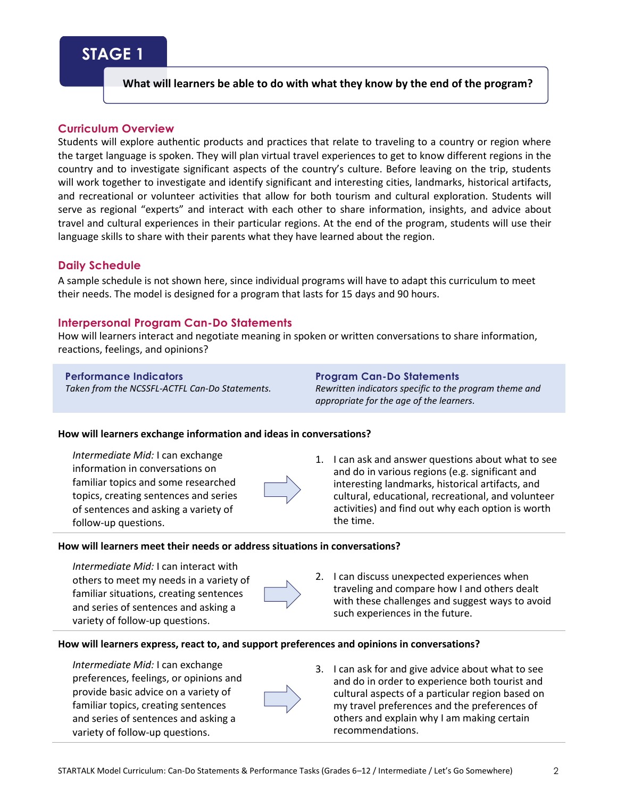# **STAGE 1**

# **What will learners be able to do with what they know by the end of the program?**

# **Curriculum Overview**

Students will explore authentic products and practices that relate to traveling to a country or region where the target language is spoken. They will plan virtual travel experiences to get to know different regions in the country and to investigate significant aspects of the country's culture. Before leaving on the trip, students will work together to investigate and identify significant and interesting cities, landmarks, historical artifacts, and recreational or volunteer activities that allow for both tourism and cultural exploration. Students will serve as regional "experts" and interact with each other to share information, insights, and advice about travel and cultural experiences in their particular regions. At the end of the program, students will use their language skills to share with their parents what they have learned about the region.

## **Daily Schedule**

A sample schedule is not shown here, since individual programs will have to adapt this curriculum to meet their needs. The model is designed for a program that lasts for 15 days and 90 hours.

## **Interpersonal Program Can-Do Statements**

How will learners interact and negotiate meaning in spoken or written conversations to share information, reactions, feelings, and opinions?

### **Performance Indicators**

*Taken from the NCSSFL-ACTFL Can-Do Statements.*

**Program Can-Do Statements** *Rewritten indicators specific to the program theme and appropriate for the age of the learners.*

#### **How will learners exchange information and ideas in conversations?**

*Intermediate Mid:* I can exchange information in conversations on familiar topics and some researched topics, creating sentences and series of sentences and asking a variety of follow-up questions.



1. I can ask and answer questions about what to see and do in various regions (e.g. significant and interesting landmarks, historical artifacts, and cultural, educational, recreational, and volunteer activities) and find out why each option is worth the time.

### **How will learners meet their needs or address situations in conversations?**

*Intermediate Mid:* I can interact with others to meet my needs in a variety of familiar situations, creating sentences and series of sentences and asking a variety of follow-up questions.



2. I can discuss unexpected experiences when traveling and compare how I and others dealt with these challenges and suggest ways to avoid such experiences in the future.

#### **How will learners express, react to, and support preferences and opinions in conversations?**

*Intermediate Mid:* I can exchange preferences, feelings, or opinions and provide basic advice on a variety of familiar topics, creating sentences and series of sentences and asking a variety of follow-up questions.

3. I can ask for and give advice about what to see and do in order to experience both tourist and cultural aspects of a particular region based on my travel preferences and the preferences of others and explain why I am making certain recommendations.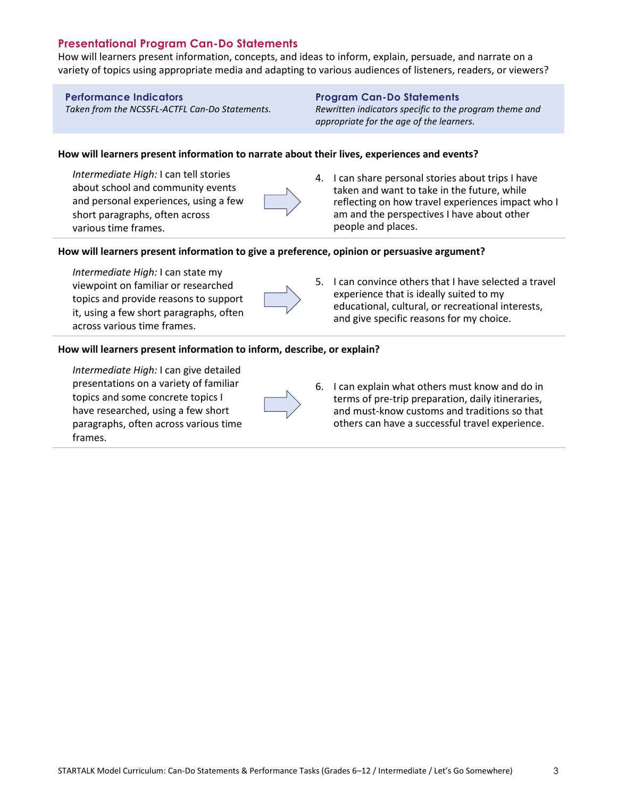# **Presentational Program Can-Do Statements**

How will learners present information, concepts, and ideas to inform, explain, persuade, and narrate on a variety of topics using appropriate media and adapting to various audiences of listeners, readers, or viewers?

### **Performance Indicators**

*Taken from the NCSSFL-ACTFL Can-Do Statements.*

### **Program Can-Do Statements**

*Rewritten indicators specific to the program theme and appropriate for the age of the learners.*

### **How will learners present information to narrate about their lives, experiences and events?**

*Intermediate High:* I can tell stories about school and community events and personal experiences, using a few short paragraphs, often across various time frames.

4. I can share personal stories about trips I have taken and want to take in the future, while reflecting on how travel experiences impact who I am and the perspectives I have about other people and places.

### **How will learners present information to give a preference, opinion or persuasive argument?**

*Intermediate High:* I can state my viewpoint on familiar or researched topics and provide reasons to support it, using a few short paragraphs, often across various time frames.



5. I can convince others that I have selected a travel experience that is ideally suited to my educational, cultural, or recreational interests, and give specific reasons for my choice.

#### **How will learners present information to inform, describe, or explain?**

*Intermediate High:* I can give detailed presentations on a variety of familiar topics and some concrete topics I have researched, using a few short paragraphs, often across various time frames.



6. I can explain what others must know and do in terms of pre-trip preparation, daily itineraries, and must-know customs and traditions so that others can have a successful travel experience.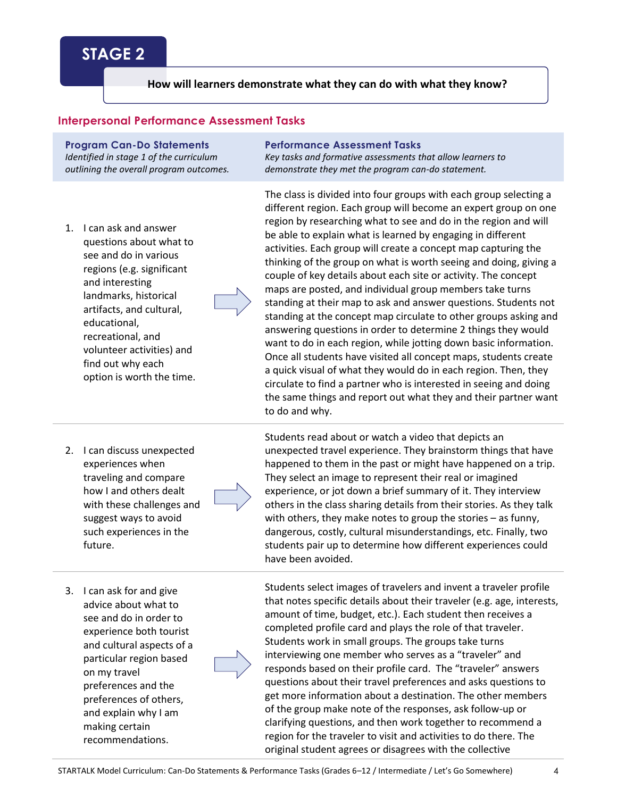# **STAGE 2**

## **How will learners demonstrate what they can do with what they know?**

## **Interpersonal Performance Assessment Tasks**

**Program Can-Do Statements** *Identified in stage 1 of the curriculum outlining the overall program outcomes.*

1. I can ask and answer questions about what to see and do in various regions (e.g. significant and interesting landmarks, historical artifacts, and cultural, educational, recreational, and volunteer activities) and find out why each option is worth the time. **Performance Assessment Tasks**

*Key tasks and formative assessments that allow learners to demonstrate they met the program can-do statement.*

The class is divided into four groups with each group selecting a different region. Each group will become an expert group on one region by researching what to see and do in the region and will be able to explain what is learned by engaging in different activities. Each group will create a concept map capturing the thinking of the group on what is worth seeing and doing, giving a couple of key details about each site or activity. The concept maps are posted, and individual group members take turns standing at their map to ask and answer questions. Students not standing at the concept map circulate to other groups asking and answering questions in order to determine 2 things they would want to do in each region, while jotting down basic information. Once all students have visited all concept maps, students create a quick visual of what they would do in each region. Then, they circulate to find a partner who is interested in seeing and doing the same things and report out what they and their partner want to do and why.

2. I can discuss unexpected experiences when traveling and compare how I and others dealt with these challenges and suggest ways to avoid such experiences in the future.



Students read about or watch a video that depicts an unexpected travel experience. They brainstorm things that have happened to them in the past or might have happened on a trip. They select an image to represent their real or imagined experience, or jot down a brief summary of it. They interview others in the class sharing details from their stories. As they talk with others, they make notes to group the stories – as funny, dangerous, costly, cultural misunderstandings, etc. Finally, two students pair up to determine how different experiences could have been avoided.

Students select images of travelers and invent a traveler profile that notes specific details about their traveler (e.g. age, interests, amount of time, budget, etc.). Each student then receives a completed profile card and plays the role of that traveler. Students work in small groups. The groups take turns interviewing one member who serves as a "traveler" and responds based on their profile card. The "traveler" answers questions about their travel preferences and asks questions to get more information about a destination. The other members of the group make note of the responses, ask follow-up or clarifying questions, and then work together to recommend a region for the traveler to visit and activities to do there. The original student agrees or disagrees with the collective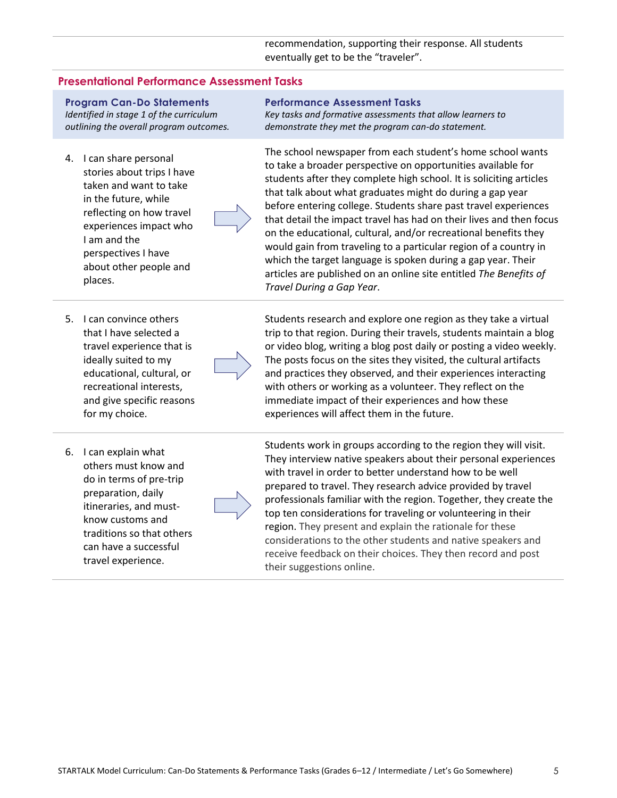recommendation, supporting their response. All students eventually get to be the "traveler".

#### **Presentational Performance Assessment Tasks**

**Program Can-Do Statements** *Identified in stage 1 of the curriculum outlining the overall program outcomes.*

- 4. I can share personal stories about trips I have taken and want to take in the future, while reflecting on how travel experiences impact who I am and the perspectives I have about other people and places.
- 5. I can convince others that I have selected a travel experience that is ideally suited to my educational, cultural, or recreational interests, and give specific reasons for my choice.
- 6. I can explain what others must know and do in terms of pre-trip preparation, daily itineraries, and mustknow customs and traditions so that others can have a successful travel experience.

#### **Performance Assessment Tasks**

*Key tasks and formative assessments that allow learners to demonstrate they met the program can-do statement.*

The school newspaper from each student's home school wants to take a broader perspective on opportunities available for students after they complete high school. It is soliciting articles that talk about what graduates might do during a gap year before entering college. Students share past travel experiences that detail the impact travel has had on their lives and then focus on the educational, cultural, and/or recreational benefits they would gain from traveling to a particular region of a country in which the target language is spoken during a gap year. Their articles are published on an online site entitled *The Benefits of Travel During a Gap Year*.

Students research and explore one region as they take a virtual trip to that region. During their travels, students maintain a blog or video blog, writing a blog post daily or posting a video weekly. The posts focus on the sites they visited, the cultural artifacts and practices they observed, and their experiences interacting with others or working as a volunteer. They reflect on the immediate impact of their experiences and how these experiences will affect them in the future.

Students work in groups according to the region they will visit. They interview native speakers about their personal experiences with travel in order to better understand how to be well prepared to travel. They research advice provided by travel professionals familiar with the region. Together, they create the top ten considerations for traveling or volunteering in their region. They present and explain the rationale for these considerations to the other students and native speakers and receive feedback on their choices. They then record and post their suggestions online.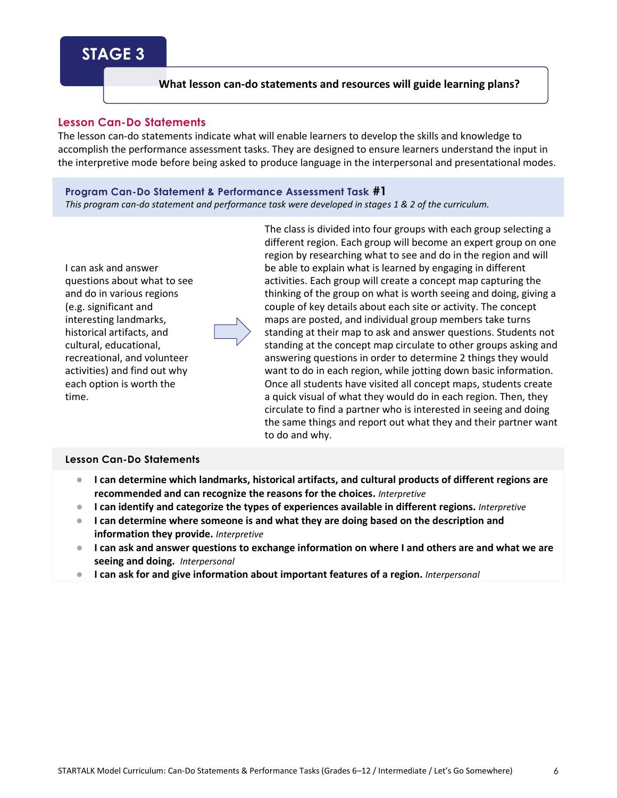# **STAGE 3**

## **What lesson can-do statements and resources will guide learning plans?**

## **Lesson Can-Do Statements**

The lesson can-do statements indicate what will enable learners to develop the skills and knowledge to accomplish the performance assessment tasks. They are designed to ensure learners understand the input in the interpretive mode before being asked to produce language in the interpersonal and presentational modes.

### **Program Can-Do Statement & Performance Assessment Task #1**

*This program can-do statement and performance task were developed in stages 1 & 2 of the curriculum.*



The class is divided into four groups with each group selecting a different region. Each group will become an expert group on one region by researching what to see and do in the region and will be able to explain what is learned by engaging in different activities. Each group will create a concept map capturing the thinking of the group on what is worth seeing and doing, giving a couple of key details about each site or activity. The concept maps are posted, and individual group members take turns standing at their map to ask and answer questions. Students not standing at the concept map circulate to other groups asking and answering questions in order to determine 2 things they would want to do in each region, while jotting down basic information. Once all students have visited all concept maps, students create a quick visual of what they would do in each region. Then, they circulate to find a partner who is interested in seeing and doing the same things and report out what they and their partner want to do and why.

# **Lesson Can-Do Statements**

- **I can determine which landmarks, historical artifacts, and cultural products of different regions are recommended and can recognize the reasons for the choices.** *Interpretive*
- **I can identify and categorize the types of experiences available in different regions.** *Interpretive*
- **I can determine where someone is and what they are doing based on the description and information they provide.** *Interpretive*
- **I can ask and answer questions to exchange information on where I and others are and what we are seeing and doing.** *Interpersonal*
- **I can ask for and give information about important features of a region.** *Interpersonal*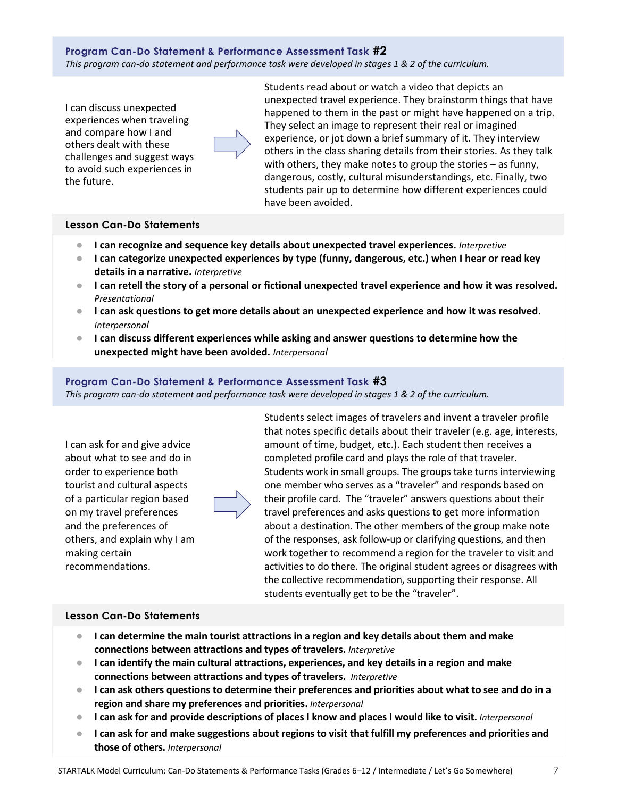**Program Can-Do Statement & Performance Assessment Task #2** *This program can-do statement and performance task were developed in stages 1 & 2 of the curriculum.*

I can discuss unexpected experiences when traveling and compare how I and others dealt with these challenges and suggest ways to avoid such experiences in the future.



Students read about or watch a video that depicts an unexpected travel experience. They brainstorm things that have happened to them in the past or might have happened on a trip. They select an image to represent their real or imagined experience, or jot down a brief summary of it. They interview others in the class sharing details from their stories. As they talk with others, they make notes to group the stories – as funny, dangerous, costly, cultural misunderstandings, etc. Finally, two students pair up to determine how different experiences could have been avoided.

# **Lesson Can-Do Statements**

- **I can recognize and sequence key details about unexpected travel experiences.** *Interpretive*
- **I can categorize unexpected experiences by type (funny, dangerous, etc.) when I hear or read key details in a narrative.** *Interpretive*
- **I can retell the story of a personal or fictional unexpected travel experience and how it was resolved.** *Presentational*
- **I can ask questions to get more details about an unexpected experience and how it was resolved.**  *Interpersonal*
- **I can discuss different experiences while asking and answer questions to determine how the unexpected might have been avoided.** *Interpersonal*

## **Program Can-Do Statement & Performance Assessment Task #3**

*This program can-do statement and performance task were developed in stages 1 & 2 of the curriculum.*

I can ask for and give advice about what to see and do in order to experience both tourist and cultural aspects of a particular region based on my travel preferences and the preferences of others, and explain why I am making certain recommendations.

Students select images of travelers and invent a traveler profile that notes specific details about their traveler (e.g. age, interests, amount of time, budget, etc.). Each student then receives a completed profile card and plays the role of that traveler. Students work in small groups. The groups take turns interviewing one member who serves as a "traveler" and responds based on their profile card. The "traveler" answers questions about their travel preferences and asks questions to get more information about a destination. The other members of the group make note of the responses, ask follow-up or clarifying questions, and then work together to recommend a region for the traveler to visit and activities to do there. The original student agrees or disagrees with the collective recommendation, supporting their response. All students eventually get to be the "traveler".

## **Lesson Can-Do Statements**

- **I can determine the main tourist attractions in a region and key details about them and make connections between attractions and types of travelers.** *Interpretive*
- **I can identify the main cultural attractions, experiences, and key details in a region and make connections between attractions and types of travelers.** *Interpretive*
- **I can ask others questions to determine their preferences and priorities about what to see and do in a region and share my preferences and priorities.** *Interpersonal*
- **I can ask for and provide descriptions of places I know and places I would like to visit.** *Interpersonal*
- **I can ask for and make suggestions about regions to visit that fulfill my preferences and priorities and those of others.** *Interpersonal*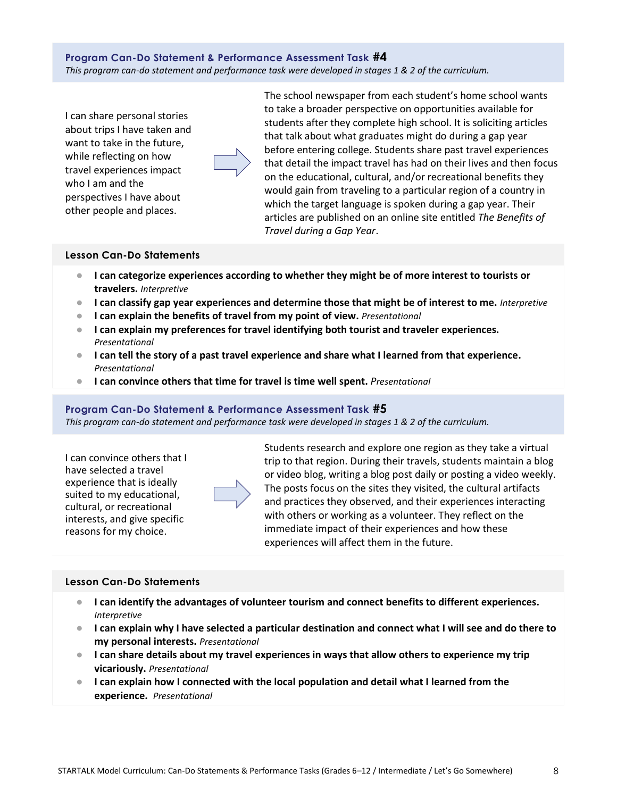**Program Can-Do Statement & Performance Assessment Task #4** *This program can-do statement and performance task were developed in stages 1 & 2 of the curriculum.*

I can share personal stories about trips I have taken and want to take in the future, while reflecting on how travel experiences impact who I am and the perspectives I have about other people and places.

The school newspaper from each student's home school wants to take a broader perspective on opportunities available for students after they complete high school. It is soliciting articles that talk about what graduates might do during a gap year before entering college. Students share past travel experiences that detail the impact travel has had on their lives and then focus on the educational, cultural, and/or recreational benefits they would gain from traveling to a particular region of a country in which the target language is spoken during a gap year. Their articles are published on an online site entitled *The Benefits of Travel during a Gap Year*.

#### **Lesson Can-Do Statements**

- **I can categorize experiences according to whether they might be of more interest to tourists or travelers.** *Interpretive*
- **I can classify gap year experiences and determine those that might be of interest to me.** *Interpretive*
- **I can explain the benefits of travel from my point of view.** *Presentational*
- **I can explain my preferences for travel identifying both tourist and traveler experiences.**  *Presentational*
- **I can tell the story of a past travel experience and share what I learned from that experience.** *Presentational*
- **I can convince others that time for travel is time well spent.** *Presentational*

#### **Program Can-Do Statement & Performance Assessment Task #5**

*This program can-do statement and performance task were developed in stages 1 & 2 of the curriculum.*

I can convince others that I have selected a travel experience that is ideally suited to my educational, cultural, or recreational interests, and give specific reasons for my choice.



Students research and explore one region as they take a virtual trip to that region. During their travels, students maintain a blog or video blog, writing a blog post daily or posting a video weekly. The posts focus on the sites they visited, the cultural artifacts and practices they observed, and their experiences interacting with others or working as a volunteer. They reflect on the immediate impact of their experiences and how these experiences will affect them in the future.

## **Lesson Can-Do Statements**

- **I can identify the advantages of volunteer tourism and connect benefits to different experiences.**  *Interpretive*
- **I can explain why I have selected a particular destination and connect what I will see and do there to my personal interests.** *Presentational*
- **I can share details about my travel experiences in ways that allow others to experience my trip vicariously.** *Presentational*
- **I can explain how I connected with the local population and detail what I learned from the experience.** *Presentational*